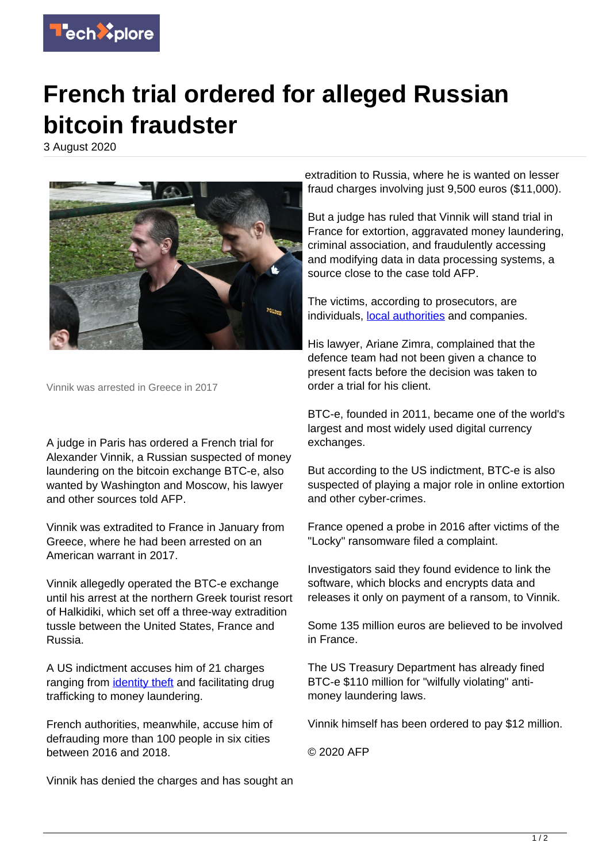

## **French trial ordered for alleged Russian bitcoin fraudster**

3 August 2020



Vinnik was arrested in Greece in 2017

A judge in Paris has ordered a French trial for Alexander Vinnik, a Russian suspected of money laundering on the bitcoin exchange BTC-e, also wanted by Washington and Moscow, his lawyer and other sources told AFP.

Vinnik was extradited to France in January from Greece, where he had been arrested on an American warrant in 2017.

Vinnik allegedly operated the BTC-e exchange until his arrest at the northern Greek tourist resort of Halkidiki, which set off a three-way extradition tussle between the United States, France and Russia.

A US indictment accuses him of 21 charges ranging from [identity theft](https://techxplore.com/tags/identity+theft/) and facilitating drug trafficking to money laundering.

French authorities, meanwhile, accuse him of defrauding more than 100 people in six cities between 2016 and 2018.

Vinnik has denied the charges and has sought an

extradition to Russia, where he is wanted on lesser fraud charges involving just 9,500 euros (\$11,000).

But a judge has ruled that Vinnik will stand trial in France for extortion, aggravated money laundering, criminal association, and fraudulently accessing and modifying data in data processing systems, a source close to the case told AFP.

The victims, according to prosecutors, are individuals, [local authorities](https://techxplore.com/tags/local+authorities/) and companies.

His lawyer, Ariane Zimra, complained that the defence team had not been given a chance to present facts before the decision was taken to order a trial for his client.

BTC-e, founded in 2011, became one of the world's largest and most widely used digital currency exchanges.

But according to the US indictment, BTC-e is also suspected of playing a major role in online extortion and other cyber-crimes.

France opened a probe in 2016 after victims of the "Locky" ransomware filed a complaint.

Investigators said they found evidence to link the software, which blocks and encrypts data and releases it only on payment of a ransom, to Vinnik.

Some 135 million euros are believed to be involved in France.

The US Treasury Department has already fined BTC-e \$110 million for "wilfully violating" antimoney laundering laws.

Vinnik himself has been ordered to pay \$12 million.

© 2020 AFP